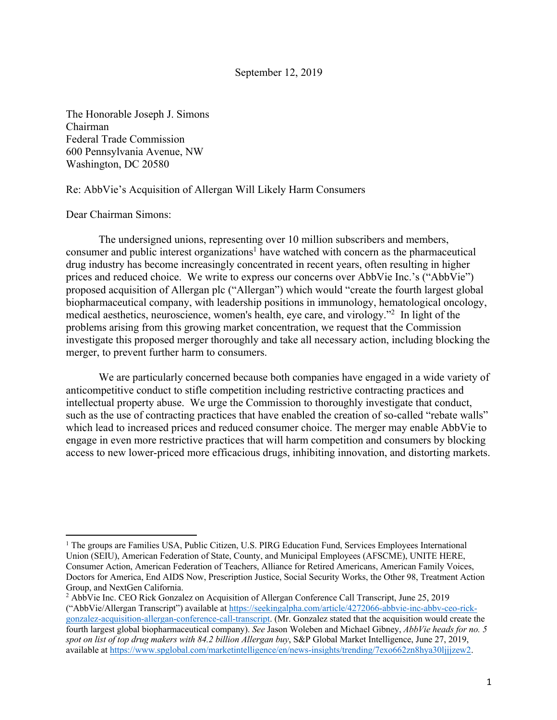September 12, 2019

The Honorable Joseph J. Simons Chairman Federal Trade Commission 600 Pennsylvania Avenue, NW Washington, DC 20580

### Re: AbbVie's Acquisition of Allergan Will Likely Harm Consumers

### Dear Chairman Simons:

The undersigned unions, representing over 10 million subscribers and members, consumer and public interest organizations<sup>1</sup> have watched with concern as the pharmaceutical drug industry has become increasingly concentrated in recent years, often resulting in higher prices and reduced choice. We write to express our concerns over AbbVie Inc.'s ("AbbVie") proposed acquisition of Allergan plc ("Allergan") which would "create the fourth largest global biopharmaceutical company, with leadership positions in immunology, hematological oncology, medical aesthetics, neuroscience, women's health, eye care, and virology."2 In light of the problems arising from this growing market concentration, we request that the Commission investigate this proposed merger thoroughly and take all necessary action, including blocking the merger, to prevent further harm to consumers.

We are particularly concerned because both companies have engaged in a wide variety of anticompetitive conduct to stifle competition including restrictive contracting practices and intellectual property abuse. We urge the Commission to thoroughly investigate that conduct, such as the use of contracting practices that have enabled the creation of so-called "rebate walls" which lead to increased prices and reduced consumer choice. The merger may enable AbbVie to engage in even more restrictive practices that will harm competition and consumers by blocking access to new lower-priced more efficacious drugs, inhibiting innovation, and distorting markets.

<sup>&</sup>lt;sup>1</sup> The groups are Families USA, Public Citizen, U.S. PIRG Education Fund, Services Employees International Union (SEIU), American Federation of State, County, and Municipal Employees (AFSCME), UNITE HERE, Consumer Action, American Federation of Teachers, Alliance for Retired Americans, American Family Voices, Doctors for America, End AIDS Now, Prescription Justice, Social Security Works, the Other 98, Treatment Action Group, and NextGen California.

<sup>2</sup> AbbVie Inc. CEO Rick Gonzalez on Acquisition of Allergan Conference Call Transcript, June 25, 2019 ("AbbVie/Allergan Transcript") available at https://seekingalpha.com/article/4272066-abbvie-inc-abbv-ceo-rickgonzalez-acquisition-allergan-conference-call-transcript. (Mr. Gonzalez stated that the acquisition would create the fourth largest global biopharmaceutical company). *See* Jason Woleben and Michael Gibney, *AbbVie heads for no. 5 spot on list of top drug makers with 84.2 billion Allergan buy*, S&P Global Market Intelligence, June 27, 2019, available at https://www.spglobal.com/marketintelligence/en/news-insights/trending/7exo662zn8hya30ljjjzew2.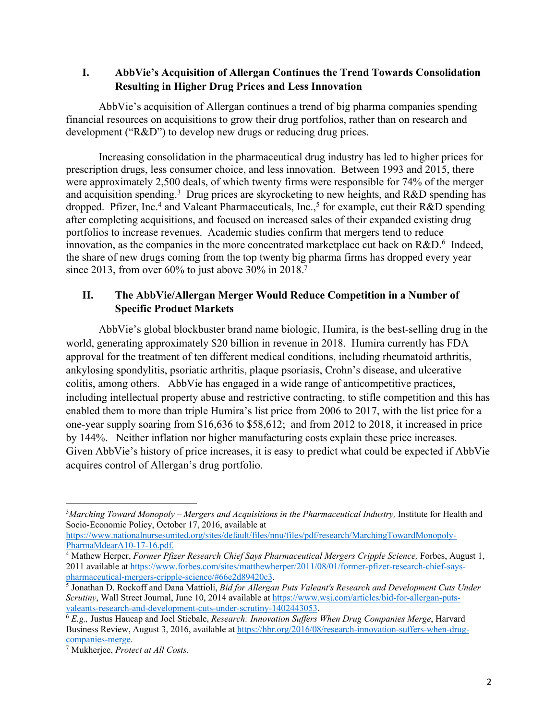## **I. AbbVie's Acquisition of Allergan Continues the Trend Towards Consolidation Resulting in Higher Drug Prices and Less Innovation**

AbbVie's acquisition of Allergan continues a trend of big pharma companies spending financial resources on acquisitions to grow their drug portfolios, rather than on research and development ("R&D") to develop new drugs or reducing drug prices.

Increasing consolidation in the pharmaceutical drug industry has led to higher prices for prescription drugs, less consumer choice, and less innovation. Between 1993 and 2015, there were approximately 2,500 deals, of which twenty firms were responsible for 74% of the merger and acquisition spending.<sup>3</sup> Drug prices are skyrocketing to new heights, and R&D spending has dropped. Pfizer, Inc.<sup>4</sup> and Valeant Pharmaceuticals, Inc.,<sup>5</sup> for example, cut their R&D spending after completing acquisitions, and focused on increased sales of their expanded existing drug portfolios to increase revenues. Academic studies confirm that mergers tend to reduce innovation, as the companies in the more concentrated marketplace cut back on  $R&D$ <sup>6</sup> Indeed, the share of new drugs coming from the top twenty big pharma firms has dropped every year since 2013, from over 60% to just above 30% in 2018.<sup>7</sup>

# **II. The AbbVie/Allergan Merger Would Reduce Competition in a Number of Specific Product Markets**

AbbVie's global blockbuster brand name biologic, Humira, is the best-selling drug in the world, generating approximately \$20 billion in revenue in 2018. Humira currently has FDA approval for the treatment of ten different medical conditions, including rheumatoid arthritis, ankylosing spondylitis, psoriatic arthritis, plaque psoriasis, Crohn's disease, and ulcerative colitis, among others. AbbVie has engaged in a wide range of anticompetitive practices, including intellectual property abuse and restrictive contracting, to stifle competition and this has enabled them to more than triple Humira's list price from 2006 to 2017, with the list price for a one-year supply soaring from \$16,636 to \$58,612; and from 2012 to 2018, it increased in price by 144%. Neither inflation nor higher manufacturing costs explain these price increases. Given AbbVie's history of price increases, it is easy to predict what could be expected if AbbVie acquires control of Allergan's drug portfolio.

<sup>&</sup>lt;sup>3</sup>Marching Toward Monopoly – Mergers and Acquisitions in the Pharmaceutical Industry, Institute for Health and Socio-Economic Policy, October 17, 2016, available at

https://www.nationalnursesunited.org/sites/default/files/nnu/files/pdf/research/MarchingTowardMonopoly-PharmaMdearA10-17-16.pdf.

<sup>4</sup> Mathew Herper, *Former Pfizer Research Chief Says Pharmaceutical Mergers Cripple Science,* Forbes, August 1, 2011 available at https://www.forbes.com/sites/matthewherper/2011/08/01/former-pfizer-research-chief-sayspharmaceutical-mergers-cripple-science/#66e2d89420c3.

<sup>5</sup> Jonathan D. Rockoff and Dana Mattioli, *Bid for Allergan Puts Valeant's Research and Development Cuts Under Scrutiny*, Wall Street Journal, June 10, 2014 available at https://www.wsj.com/articles/bid-for-allergan-putsvaleants-research-and-development-cuts-under-scrutiny-1402443053.

<sup>6</sup> *E.g.,* Justus Haucap and Joel Stiebale, *Research: Innovation Suffers When Drug Companies Merge*, Harvard Business Review, August 3, 2016, available at https://hbr.org/2016/08/research-innovation-suffers-when-drugcompanies-merge.

<sup>7</sup> Mukherjee, *Protect at All Costs*.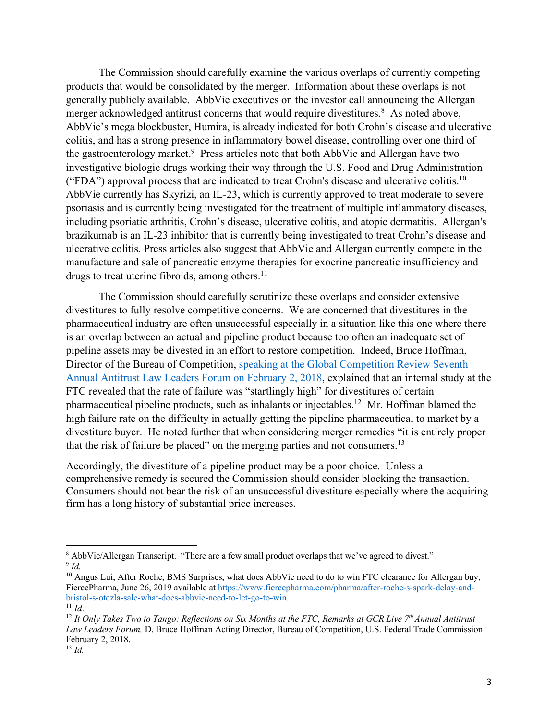The Commission should carefully examine the various overlaps of currently competing products that would be consolidated by the merger. Information about these overlaps is not generally publicly available. AbbVie executives on the investor call announcing the Allergan merger acknowledged antitrust concerns that would require divestitures.<sup>8</sup> As noted above, AbbVie's mega blockbuster, Humira, is already indicated for both Crohn's disease and ulcerative colitis, and has a strong presence in inflammatory bowel disease, controlling over one third of the gastroenterology market.<sup>9</sup> Press articles note that both AbbVie and Allergan have two investigative biologic drugs working their way through the U.S. Food and Drug Administration ("FDA") approval process that are indicated to treat Crohn's disease and ulcerative colitis.<sup>10</sup> AbbVie currently has Skyrizi, an IL-23, which is currently approved to treat moderate to severe psoriasis and is currently being investigated for the treatment of multiple inflammatory diseases, including psoriatic arthritis, Crohn's disease, ulcerative colitis, and atopic dermatitis. Allergan's brazikumab is an IL-23 inhibitor that is currently being investigated to treat Crohn's disease and ulcerative colitis. Press articles also suggest that AbbVie and Allergan currently compete in the manufacture and sale of pancreatic enzyme therapies for exocrine pancreatic insufficiency and drugs to treat uterine fibroids, among others. $<sup>11</sup>$ </sup>

The Commission should carefully scrutinize these overlaps and consider extensive divestitures to fully resolve competitive concerns. We are concerned that divestitures in the pharmaceutical industry are often unsuccessful especially in a situation like this one where there is an overlap between an actual and pipeline product because too often an inadequate set of pipeline assets may be divested in an effort to restore competition. Indeed, Bruce Hoffman, Director of the Bureau of Competition, speaking at the Global Competition Review Seventh Annual Antitrust Law Leaders Forum on February 2, 2018, explained that an internal study at the FTC revealed that the rate of failure was "startlingly high" for divestitures of certain pharmaceutical pipeline products, such as inhalants or injectables.12 Mr. Hoffman blamed the high failure rate on the difficulty in actually getting the pipeline pharmaceutical to market by a divestiture buyer. He noted further that when considering merger remedies "it is entirely proper that the risk of failure be placed" on the merging parties and not consumers.<sup>13</sup>

Accordingly, the divestiture of a pipeline product may be a poor choice. Unless a comprehensive remedy is secured the Commission should consider blocking the transaction. Consumers should not bear the risk of an unsuccessful divestiture especially where the acquiring firm has a long history of substantial price increases.

<sup>&</sup>lt;sup>8</sup> AbbVie/Allergan Transcript. "There are a few small product overlaps that we've agreed to divest." <sup>9</sup> *Id.*

<sup>&</sup>lt;sup>10</sup> Angus Lui, After Roche, BMS Surprises, what does AbbVie need to do to win FTC clearance for Allergan buy, FiercePharma, June 26, 2019 available at https://www.fiercepharma.com/pharma/after-roche-s-spark-delay-andbristol-s-otezla-sale-what-does-abbvie-need-to-let-go-to-win.  $11 \, Id$ 

<sup>&</sup>lt;sup>12</sup> It Only Takes Two to Tango: Reflections on Six Months at the FTC, Remarks at GCR Live 7<sup>th</sup> Annual Antitrust *Law Leaders Forum,* D. Bruce Hoffman Acting Director, Bureau of Competition, U.S. Federal Trade Commission February 2, 2018.

<sup>13</sup> *Id.*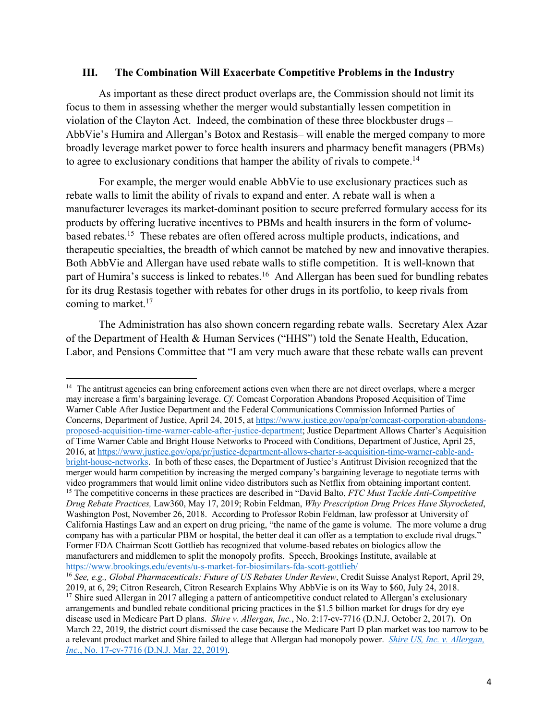#### **III. The Combination Will Exacerbate Competitive Problems in the Industry**

As important as these direct product overlaps are, the Commission should not limit its focus to them in assessing whether the merger would substantially lessen competition in violation of the Clayton Act. Indeed, the combination of these three blockbuster drugs – AbbVie's Humira and Allergan's Botox and Restasis– will enable the merged company to more broadly leverage market power to force health insurers and pharmacy benefit managers (PBMs) to agree to exclusionary conditions that hamper the ability of rivals to compete.<sup>14</sup>

For example, the merger would enable AbbVie to use exclusionary practices such as rebate walls to limit the ability of rivals to expand and enter. A rebate wall is when a manufacturer leverages its market-dominant position to secure preferred formulary access for its products by offering lucrative incentives to PBMs and health insurers in the form of volumebased rebates.15 These rebates are often offered across multiple products, indications, and therapeutic specialties, the breadth of which cannot be matched by new and innovative therapies. Both AbbVie and Allergan have used rebate walls to stifle competition. It is well-known that part of Humira's success is linked to rebates.<sup>16</sup> And Allergan has been sued for bundling rebates for its drug Restasis together with rebates for other drugs in its portfolio, to keep rivals from coming to market.<sup>17</sup>

The Administration has also shown concern regarding rebate walls. Secretary Alex Azar of the Department of Health & Human Services ("HHS") told the Senate Health, Education, Labor, and Pensions Committee that "I am very much aware that these rebate walls can prevent

<sup>&</sup>lt;sup>14</sup> The antitrust agencies can bring enforcement actions even when there are not direct overlaps, where a merger may increase a firm's bargaining leverage. *Cf.* Comcast Corporation Abandons Proposed Acquisition of Time Warner Cable After Justice Department and the Federal Communications Commission Informed Parties of Concerns, Department of Justice, April 24, 2015, at https://www.justice.gov/opa/pr/comcast-corporation-abandonsproposed-acquisition-time-warner-cable-after-justice-department; Justice Department Allows Charter's Acquisition of Time Warner Cable and Bright House Networks to Proceed with Conditions, Department of Justice, April 25, 2016, at https://www.justice.gov/opa/pr/justice-department-allows-charter-s-acquisition-time-warner-cable-andbright-house-networks. In both of these cases, the Department of Justice's Antitrust Division recognized that the merger would harm competition by increasing the merged company's bargaining leverage to negotiate terms with video programmers that would limit online video distributors such as Netflix from obtaining important content. <sup>15</sup> The competitive concerns in these practices are described in "David Balto, *FTC Must Tackle Anti-Competitive Drug Rebate Practices,* Law360, May 17, 2019; Robin Feldman, *Why Prescription Drug Prices Have Skyrocketed*, Washington Post, November 26, 2018. According to Professor Robin Feldman, law professor at University of California Hastings Law and an expert on drug pricing, "the name of the game is volume. The more volume a drug company has with a particular PBM or hospital, the better deal it can offer as a temptation to exclude rival drugs." Former FDA Chairman Scott Gottlieb has recognized that volume-based rebates on biologics allow the manufacturers and middlemen to split the monopoly profits. Speech, Brookings Institute, available at https://www.brookings.edu/events/u-s-market-for-biosimilars-fda-scott-gottlieb/

<sup>16</sup> *See, e.g., Global Pharmaceuticals: Future of US Rebates Under Review*, Credit Suisse Analyst Report, April 29, 2019, at 6, 29; Citron Research, Citron Research Explains Why AbbVie is on its Way to \$60, July 24, 2018. <sup>17</sup> Shire sued Allergan in 2017 alleging a pattern of anticompetitive conduct related to Allergan's exclusionary arrangements and bundled rebate conditional pricing practices in the \$1.5 billion market for drugs for dry eye disease used in Medicare Part D plans. *Shire v. Allergan, Inc.*, No. 2:17-cv-7716 (D.N.J. October 2, 2017). On March 22, 2019, the district court dismissed the case because the Medicare Part D plan market was too narrow to be a relevant product market and Shire failed to allege that Allergan had monopoly power. *Shire US, Inc. v. Allergan, Inc.*, No. 17-cv-7716 (D.N.J. Mar. 22, 2019).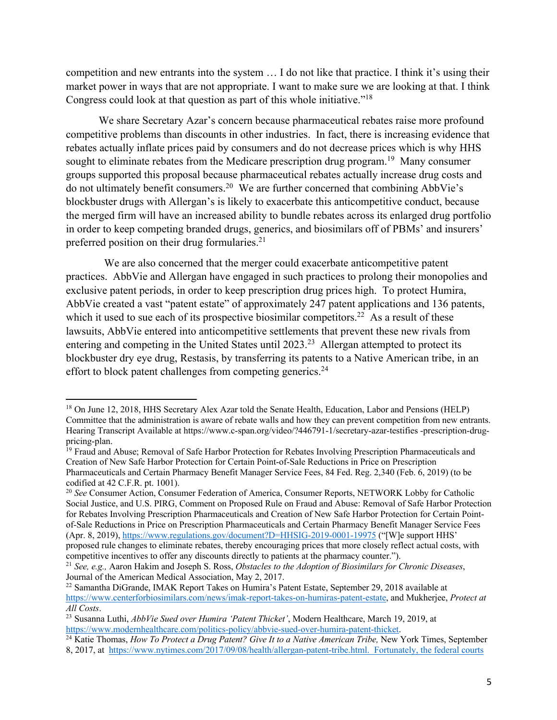competition and new entrants into the system … I do not like that practice. I think it's using their market power in ways that are not appropriate. I want to make sure we are looking at that. I think Congress could look at that question as part of this whole initiative."18

We share Secretary Azar's concern because pharmaceutical rebates raise more profound competitive problems than discounts in other industries. In fact, there is increasing evidence that rebates actually inflate prices paid by consumers and do not decrease prices which is why HHS sought to eliminate rebates from the Medicare prescription drug program.<sup>19</sup> Many consumer groups supported this proposal because pharmaceutical rebates actually increase drug costs and do not ultimately benefit consumers.20 We are further concerned that combining AbbVie's blockbuster drugs with Allergan's is likely to exacerbate this anticompetitive conduct, because the merged firm will have an increased ability to bundle rebates across its enlarged drug portfolio in order to keep competing branded drugs, generics, and biosimilars off of PBMs' and insurers' preferred position on their drug formularies.<sup>21</sup>

 We are also concerned that the merger could exacerbate anticompetitive patent practices. AbbVie and Allergan have engaged in such practices to prolong their monopolies and exclusive patent periods, in order to keep prescription drug prices high. To protect Humira, AbbVie created a vast "patent estate" of approximately 247 patent applications and 136 patents, which it used to sue each of its prospective biosimilar competitors.<sup>22</sup> As a result of these lawsuits, AbbVie entered into anticompetitive settlements that prevent these new rivals from entering and competing in the United States until 2023.<sup>23</sup> Allergan attempted to protect its blockbuster dry eye drug, Restasis, by transferring its patents to a Native American tribe, in an effort to block patent challenges from competing generics.<sup>24</sup>

<sup>&</sup>lt;sup>18</sup> On June 12, 2018, HHS Secretary Alex Azar told the Senate Health, Education, Labor and Pensions (HELP) Committee that the administration is aware of rebate walls and how they can prevent competition from new entrants. Hearing Transcript Available at https://www.c-span.org/video/?446791-1/secretary-azar-testifies -prescription-drugpricing-plan.

<sup>&</sup>lt;sup>19</sup> Fraud and Abuse; Removal of Safe Harbor Protection for Rebates Involving Prescription Pharmaceuticals and Creation of New Safe Harbor Protection for Certain Point-of-Sale Reductions in Price on Prescription Pharmaceuticals and Certain Pharmacy Benefit Manager Service Fees, 84 Fed. Reg. 2,340 (Feb. 6, 2019) (to be codified at 42 C.F.R. pt. 1001).

<sup>20</sup> *See* Consumer Action, Consumer Federation of America, Consumer Reports, NETWORK Lobby for Catholic Social Justice, and U.S. PIRG, Comment on Proposed Rule on Fraud and Abuse: Removal of Safe Harbor Protection for Rebates Involving Prescription Pharmaceuticals and Creation of New Safe Harbor Protection for Certain Pointof-Sale Reductions in Price on Prescription Pharmaceuticals and Certain Pharmacy Benefit Manager Service Fees (Apr. 8, 2019), https://www.regulations.gov/document?D=HHSIG-2019-0001-19975 ("[W]e support HHS' proposed rule changes to eliminate rebates, thereby encouraging prices that more closely reflect actual costs, with competitive incentives to offer any discounts directly to patients at the pharmacy counter.").

<sup>21</sup> *See, e.g.,* Aaron Hakim and Joseph S. Ross, *Obstacles to the Adoption of Biosimilars for Chronic Diseases*, Journal of the American Medical Association, May 2, 2017.

<sup>22</sup> Samantha DiGrande, IMAK Report Takes on Humira's Patent Estate, September 29, 2018 available at https://www.centerforbiosimilars.com/news/imak-report-takes-on-humiras-patent-estate, and Mukherjee, *Protect at All Costs*.

<sup>23</sup> Susanna Luthi, *AbbVie Sued over Humira 'Patent Thicket'*, Modern Healthcare, March 19, 2019, at https://www.modernhealthcare.com/politics-policy/abbvie-sued-over-humira-patent-thicket.

<sup>&</sup>lt;sup>24</sup> Katie Thomas, *How To Protect a Drug Patent? Give It to a Native American Tribe*, New York Times, September

<sup>8, 2017,</sup> at https://www.nytimes.com/2017/09/08/health/allergan-patent-tribe.html. Fortunately, the federal courts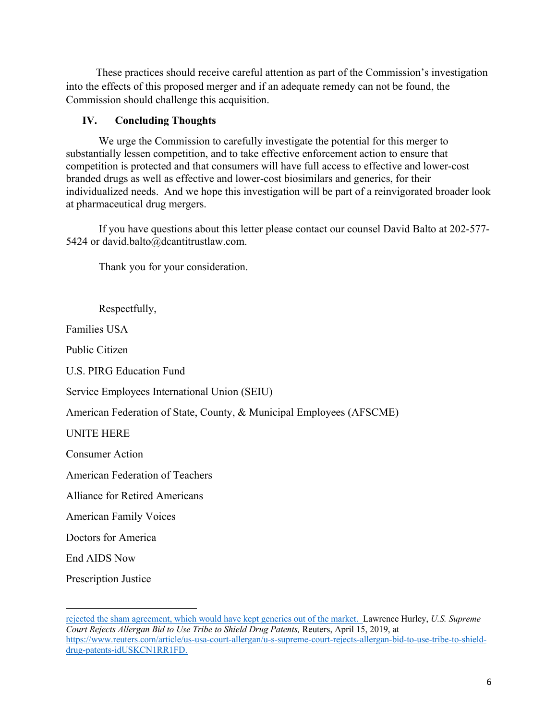These practices should receive careful attention as part of the Commission's investigation into the effects of this proposed merger and if an adequate remedy can not be found, the Commission should challenge this acquisition.

# **IV. Concluding Thoughts**

We urge the Commission to carefully investigate the potential for this merger to substantially lessen competition, and to take effective enforcement action to ensure that competition is protected and that consumers will have full access to effective and lower-cost branded drugs as well as effective and lower-cost biosimilars and generics, for their individualized needs. And we hope this investigation will be part of a reinvigorated broader look at pharmaceutical drug mergers.

If you have questions about this letter please contact our counsel David Balto at 202-577- 5424 or david.balto@dcantitrustlaw.com.

Thank you for your consideration.

Respectfully,

Families USA

Public Citizen

U.S. PIRG Education Fund

Service Employees International Union (SEIU)

American Federation of State, County, & Municipal Employees (AFSCME)

UNITE HERE

Consumer Action

American Federation of Teachers

Alliance for Retired Americans

American Family Voices

Doctors for America

End AIDS Now

Prescription Justice

rejected the sham agreement, which would have kept generics out of the market. Lawrence Hurley, *U.S. Supreme Court Rejects Allergan Bid to Use Tribe to Shield Drug Patents,* Reuters, April 15, 2019, at https://www.reuters.com/article/us-usa-court-allergan/u-s-supreme-court-rejects-allergan-bid-to-use-tribe-to-shielddrug-patents-idUSKCN1RR1FD.